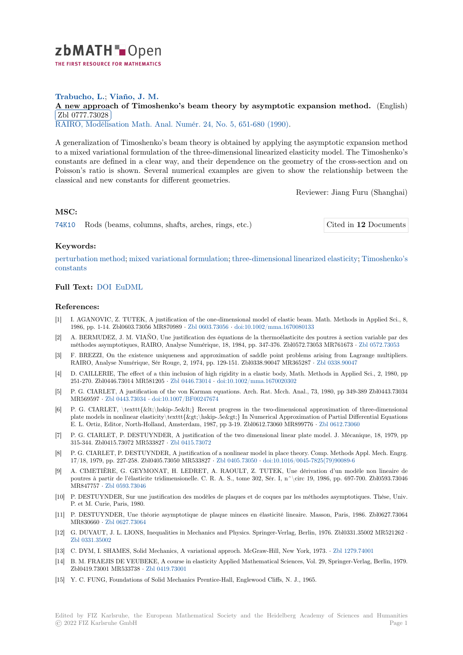

# **Trabucho, L.**; **Viaño, J. M.**

[A](https://zbmath.org/) new approach of Timoshenko's beam theory by asymptotic expansion method. (English) Zbl 0777.73028

**EBI 0777.10020**<br>RAIRO, Modélisation Math. Anal. Numér. 24, No. 5, 651-680 (1990).

[A generalization of Timoshenko's beam theory is obtained by applying the asymptotic expansi](https://zbmath.org/0777.73028)on method [to a mixed variati](https://zbmath.org/0777.73028)onal formulation of the three-dimensional linearized elasticity model. The Timoshenko's [constants are defined in a clear way, and t](https://zbmath.org/journals/?q=se:1047)[heir dependence on the ge](https://zbmath.org/?q=in:155790)ometry of the cross-section and on Poisson's ratio is shown. Several numerical examples are given to show the relationship between the classical and new constants for different geometries.

Reviewer: Jiang Furu (Shanghai)

## **MSC:**

74K10 Rods (beams, columns, shafts, arches, rings, etc.) Cited in **12** Documents

### **Keywords:**

[pertur](https://zbmath.org/classification/?q=cc:74K10)bation method; mixed variational formulation; three-dimensional linearized elasticity; [Timoshenko's](https://zbmath.org/?q=rf:0777.73028|5647) constants

### **Full Text:** DOI EuDML

#### **[Referenc](https://zbmath.org/?q=ut:Timoshenko%27s+constants)es:**

- [1] I. AGANOVIC, Z. TUTEK, A justification of the one-dimensional model of elastic beam. Math. Methods in Applied Sci., 8, 1986, pp. [1-14.](https://dx.doi.org/10.1051/m2an/1990240506511) [Zbl0603.730](https://eudml.org/doc/193609)56 MR870989 *·* Zbl 0603.73056 *·* doi:10.1002/mma.1670080133
- [2] A. BERMUDEZ, J. M. VIAÑO, Une justification des équations de la thermoélasticite des poutres à section variable par des méthodes asymptotiques, RAIRO, Analyse Numérique, 18, 1984, pp. 347-376. Zbl0572.73053 MR761673 *·* Zbl 0572.73053
- [3] F. BREZZI, On the existence uniqueness and approximation of saddle point problems arising from Lagrange multipliers. RAIRO, Analyse Numérique, Sér Rouge, 2, [1974, pp. 129-1](https://zbmath.org/0603.73056)5[1. Zbl0338.90047 MR365287](https://dx.doi.org/10.1002/mma.1670080133) *·* Zbl 0338.90047
- [4] D. CAILLERIE, The effect of a thin inclusion of high rigidity in a elastic body, Math. Methods in Applied Sci., 2, 1980, pp 251-270. Zbl0446.73014 MR581205 *·* Zbl 0446.73014 *·* doi:10.1002/mma.1670020302
- [5] P. G. CIARLET, A justification of the von Karman equations. Arch. Rat. Mcch. Anal., 73, 1980, pp 349-389 Zbl0443.73034 MR569597 *·* Zbl 0443.73034 *·* doi:10.1007/BF00247674
- [6] P. G. CIARLET, \texttt{<\hskip-.5e&lt;} Recent progress in the two-dimensional approximation of three-dimensional plate models in nonlinear elasticity\t[exttt{>\hski](https://zbmath.org/0446.73014)p[-.5e>} In Numerical Approx](https://dx.doi.org/10.1002/mma.1670020302)imation of Partial Differential Equations E. L. Ortiz, Editor, North-Holland, Amsterdam, 1987, pp 3-19. Zbl0612.73060 MR899776 *·* Zbl 0612.73060
- [7] P. G. CIAR[LET, P. DESTU](https://zbmath.org/0443.73034)[YNDER, A justification o](https://dx.doi.org/10.1007/BF00247674)f the two dimensional linear plate model. J. Mécanique, 18, 1979, pp 315-344. Zbl0415.73072 MR533827 *·* Zbl 0415.73072
- [8] P. G. CIARLET, P. DESTUYNDER, A justification of a nonlinear model in place theory. Comp. Methods Appl. Mech. Engrg. 17/18, 1979, pp. 227-258. Zbl0405.73050 MR533827 *·* Zbl 0405.73050 *·* doi:10.1016/0045-78[25\(79\)90089-6](https://zbmath.org/0612.73060)
- [9] A. CIMETIÈRE, G. GEYMONAT, H. LEDRET, A. RAOULT, Z. TUTEK, Une dérivation d'un modèle non lineaire de poutres à partir de l'élasticite tridi[mensionelle. C. R](https://zbmath.org/0415.73072). A. S., tome 302, Sér. I, n^\circ 19, 1986, pp. 697-700. Zbl0593.73046 MR847757 *·* Zbl 0593.73046
- [10] P. DESTUYNDER, Sur une justification des modèles [de plaques et d](https://zbmath.org/0405.73050)e [coques par les méthodes asymptot](https://dx.doi.org/10.1016/0045-7825(79)90089-6)iques. Thèse, Univ. P. et M. Curie, Paris, 1980.
- [11] P. DESTUYNDER, Une théorie asymptotique de plaque minces en élasticité lineaire. Masson, Paris, 1986. Zbl0627.73064 MR830660 *·* [Zbl 0627.73064](https://zbmath.org/0593.73046)
- [12] G. DUVAUT, J. L. LIONS, Inequalities in Mechanics and Physics. Springer-Verlag, Berlin, 1976. Zbl0331.35002 MR521262 *·* Zbl 0331.35002
- [13] C. DYM, I. SHAMES, Solid Mechanics, A variational approch. McGraw-Hill, New York, 1973. *·* Zbl 1279.74001
- [14] B. M. FRAE[JIS DE VEUBE](https://zbmath.org/0627.73064)KE, A course in elasticity Applied Mathematical Sciences, Vol. 29, Springer-Verlag, Berlin, 1979. Zbl0419.73001 MR533738 *·* Zbl 0419.73001
- [15] [Y. C. FUNG, F](https://zbmath.org/0331.35002)oundations of Solid Mechanics Prentice-Hall, Englewood Cliffs, N. J., 1965.